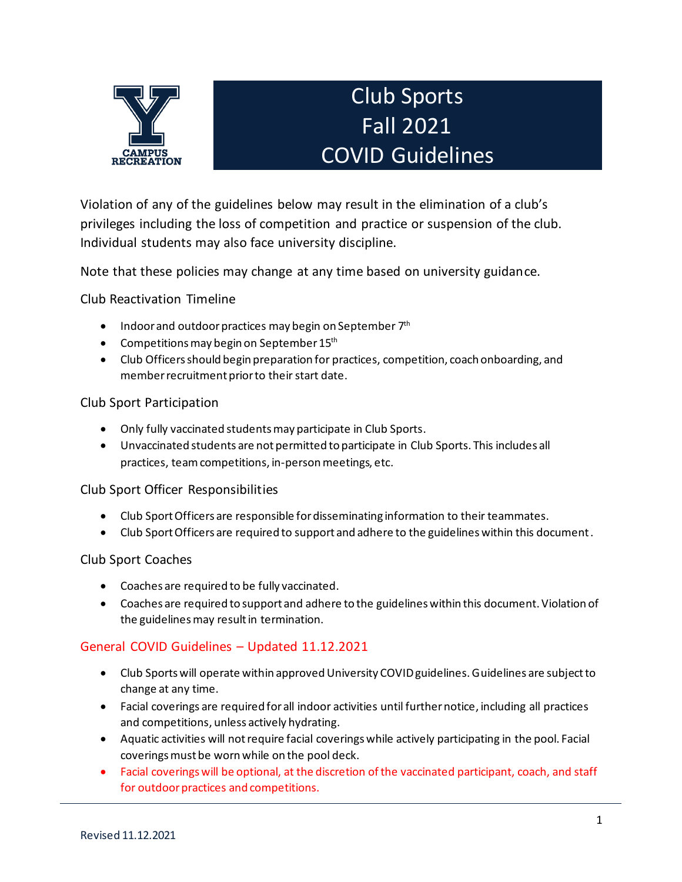

# Club Sports Fall 2021 COVID Guidelines

Violation of any of the guidelines below may result in the elimination of a club's privileges including the loss of competition and practice or suspension of the club. Individual students may also face university discipline.

Note that these policies may change at any time based on university guidance.

Club Reactivation Timeline

- Indoor and outdoor practices may begin on September 7<sup>th</sup>
- Competitions may begin on September 15<sup>th</sup>
- Club Officers should begin preparation for practices, competition, coach onboarding, and member recruitment prior to their start date.

### Club Sport Participation

- Only fully vaccinated students may participate in Club Sports.
- Unvaccinated students are not permitted to participate in Club Sports. This includes all practices, team competitions, in-person meetings, etc.

#### Club Sport Officer Responsibilities

- Club Sport Officers are responsible for disseminating information to their teammates.
- Club Sport Officers are required to support and adhere to the guidelines within this document.

#### Club Sport Coaches

- Coaches are required to be fully vaccinated.
- Coaches are required to support and adhere to the guidelines within this document. Violation of the guidelines may result in termination.

#### General COVID Guidelines – Updated 11.12.2021

- Club Sports will operate within approved University COVID guidelines. Guidelines are subject to change at any time.
- Facial coverings are required for all indoor activities until further notice, including all practices and competitions, unless actively hydrating.
- Aquatic activities will not require facial coveringswhile actively participating in the pool. Facial coverings must be worn while on the pool deck.
- Facial coverings will be optional, at the discretion of the vaccinated participant, coach, and staff for outdoor practices and competitions.